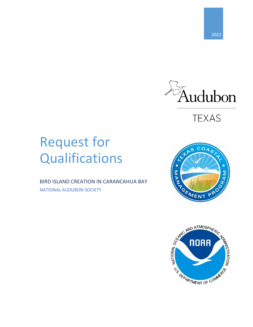

**TEXAS** 

# Request for Qualifications

BIRD ISLAND CREATION IN CARANCAHUA BAY NATIONAL AUDUBON SOCIETY



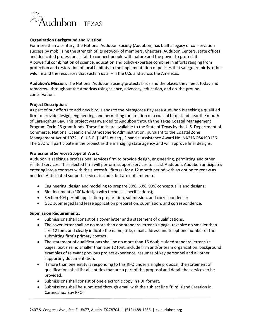

# **Organization Background and Mission**:

For more than a century, the National Audubon Society (Audubon) has built a legacy of conservation success by mobilizing the strength of its network of members, Chapters, Audubon Centers, state offices and dedicated professional staff to connect people with nature and the power to protect it. A powerful combination of science, education and policy expertise combine in efforts ranging from protection and restoration of local habitats to the implementation of policies that safeguard birds, other wildlife and the resources that sustain us all--in the U.S. and across the Americas.

**Audubon's Mission**: The National Audubon Society protects birds and the places they need, today and tomorrow, throughout the Americas using science, advocacy, education, and on-the-ground conservation.

## **Project Description**:

As part of our efforts to add new bird islands to the Matagorda Bay area Audubon is seeking a qualified firm to provide design, engineering, and permitting for creation of a coastal bird island near the mouth of Carancahua Bay. This project was awarded to Audubon through the Texas Coastal Management Program Cycle 26 grant funds. These funds are available to the State of Texas by the U.S. Department of Commerce, National Oceanic and Atmospheric Administration, pursuant to the Coastal Zone Management Act of 1972, 16 U.S.C. § 1451 et seq., Financial Assistance Award No. NA21NOS4190136. The GLO will participate in the project as the managing state agency and will approve final designs.

## **Professional Services Scope of Work**:

Audubon is seeking a professional services firm to provide design, engineering, permitting and other related services. The selected firm will perform support services to assist Audubon. Audubon anticipates entering into a contract with the successful firm (s) for a 12 month period with an option to renew as needed. Anticipated support services include, but are not limited to:

- Engineering, design and modeling to prepare 30%, 60%, 90% conceptual island designs;
- Bid documents (100% design with technical specifications);
- Section 404 permit application preparation, submission, and correspondence;
- GLO submerged land lease application preparation, submission, and correspondence.

## **Submission Requirements**:

- Submissions shall consist of a cover letter and a statement of qualifications.
- The cover letter shall be no more than one standard letter size page, text size no smaller than size 12 font, and clearly indicate the name, title, email address and telephone number of the submitting firm's primary contact.
- The statement of qualifications shall be no more than 15 double-sided standard letter size pages, text size no smaller than size 12 font, include firm and/or team organization, background, examples of relevant previous project experience, resumes of key personnel and all other supporting documentation.
- If more than one entity is responding to this RFQ under a single proposal, the statement of qualifications shall list all entities that are a part of the proposal and detail the services to be provided.
- Submissions shall consist of one electronic copy in PDF format.
- Submissions shall be submitted through email with the subject line "Bird Island Creation in Carancahua Bay RFQ"